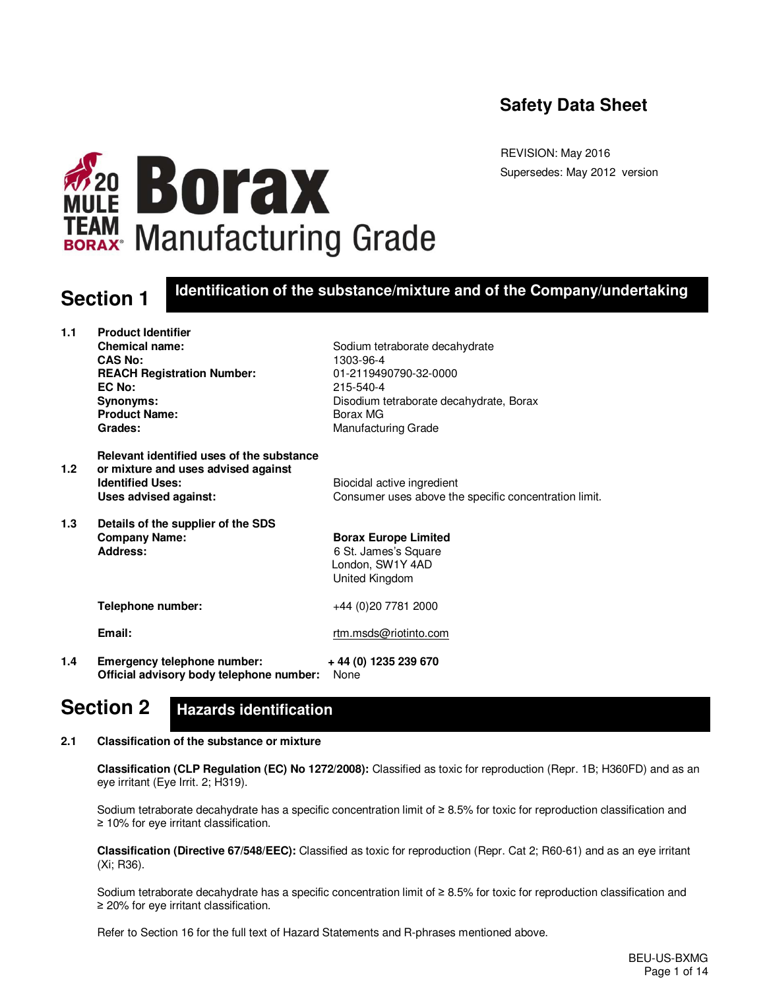## **Safety Data Sheet**

**WARD BOTAX**<br>TEAM Manufacturing Grade

REVISION: May 2016 Supersedes: May 2012 version

## **Section 1 Identification of the substance/mixture and of the Company/undertaking**

| 1.1              | <b>Product Identifier</b>                                                        |                                                       |
|------------------|----------------------------------------------------------------------------------|-------------------------------------------------------|
|                  | <b>Chemical name:</b>                                                            | Sodium tetraborate decahydrate                        |
|                  | <b>CAS No:</b>                                                                   | 1303-96-4                                             |
|                  | <b>REACH Registration Number:</b>                                                | 01-2119490790-32-0000                                 |
|                  | EC No:                                                                           | 215-540-4                                             |
|                  | Synonyms:                                                                        | Disodium tetraborate decahydrate, Borax               |
|                  | <b>Product Name:</b>                                                             | Borax MG                                              |
|                  | Grades:                                                                          | <b>Manufacturing Grade</b>                            |
| 1.2 <sub>1</sub> | Relevant identified uses of the substance<br>or mixture and uses advised against |                                                       |
|                  | <b>Identified Uses:</b>                                                          | Biocidal active ingredient                            |
|                  | Uses advised against:                                                            | Consumer uses above the specific concentration limit. |
| 1.3              | Details of the supplier of the SDS                                               |                                                       |
|                  | <b>Company Name:</b>                                                             | <b>Borax Europe Limited</b>                           |
|                  | <b>Address:</b>                                                                  | 6 St. James's Square                                  |
|                  |                                                                                  | London, SW1Y 4AD                                      |
|                  |                                                                                  | United Kingdom                                        |
|                  | Telephone number:                                                                | +44 (0)20 7781 2000                                   |
|                  | Email:                                                                           | rtm.msds@riotinto.com                                 |
| 1.4              | Emergency telephone number:<br>Official advisory body telephone number:          | + 44 (0) 1235 239 670<br>None                         |

#### **Section 2 Hazards identification**

## **2.1 Classification of the substance or mixture**

 **Classification (CLP Regulation (EC) No 1272/2008):** Classified as toxic for reproduction (Repr. 1B; H360FD) and as an eye irritant (Eye Irrit. 2; H319).

Sodium tetraborate decahydrate has a specific concentration limit of ≥ 8.5% for toxic for reproduction classification and ≥ 10% for eye irritant classification.

 **Classification (Directive 67/548/EEC):** Classified as toxic for reproduction (Repr. Cat 2; R60-61) and as an eye irritant (Xi; R36).

Sodium tetraborate decahydrate has a specific concentration limit of ≥ 8.5% for toxic for reproduction classification and ≥ 20% for eye irritant classification.

Refer to Section 16 for the full text of Hazard Statements and R-phrases mentioned above.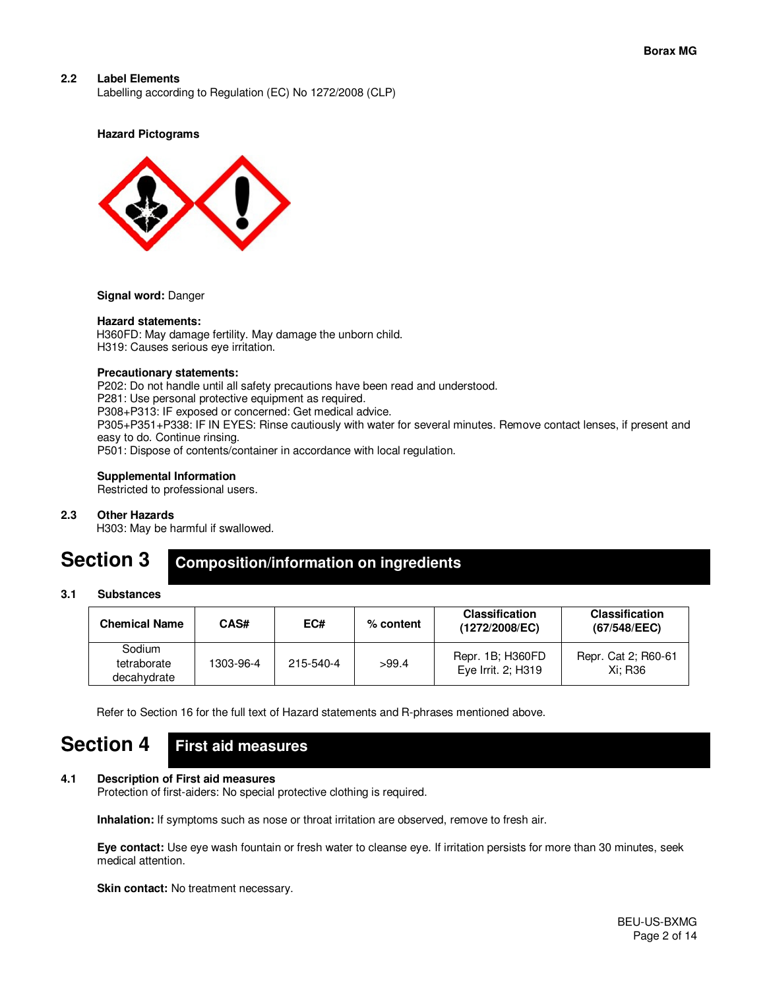## **2.2 Label Elements**

Labelling according to Regulation (EC) No 1272/2008 (CLP)

#### **Hazard Pictograms**



#### **Signal word:** Danger

#### **Hazard statements:**

H360FD: May damage fertility. May damage the unborn child. H319: Causes serious eye irritation.

#### **Precautionary statements:**

P202: Do not handle until all safety precautions have been read and understood. P281: Use personal protective equipment as required. P308+P313: IF exposed or concerned: Get medical advice. P305+P351+P338: IF IN EYES: Rinse cautiously with water for several minutes. Remove contact lenses, if present and easy to do. Continue rinsing. P501: Dispose of contents/container in accordance with local regulation.

#### **Supplemental Information**

Restricted to professional users.

#### **2.3 Other Hazards**

H303: May be harmful if swallowed.

#### **Section 3 Composition/information on ingredients**

#### **3.1 Substances**

| <b>Chemical Name</b>                 | CAS#      | EC#       | $%$ content | <b>Classification</b><br>(1272/2008/EC) | <b>Classification</b><br>(67/548/EEC) |
|--------------------------------------|-----------|-----------|-------------|-----------------------------------------|---------------------------------------|
| Sodium<br>tetraborate<br>decahydrate | 1303-96-4 | 215-540-4 | >99.4       | Repr. 1B; H360FD<br>Eye Irrit. 2: H319  | Repr. Cat 2; R60-61<br>Xi: R36        |

Refer to Section 16 for the full text of Hazard statements and R-phrases mentioned above.

#### **Section 4 First aid measures**

## **4.1 Description of First aid measures**

Protection of first-aiders: No special protective clothing is required.

 **Inhalation:** If symptoms such as nose or throat irritation are observed, remove to fresh air.

 **Eye contact:** Use eye wash fountain or fresh water to cleanse eye. If irritation persists for more than 30 minutes, seek medical attention.

 **Skin contact:** No treatment necessary.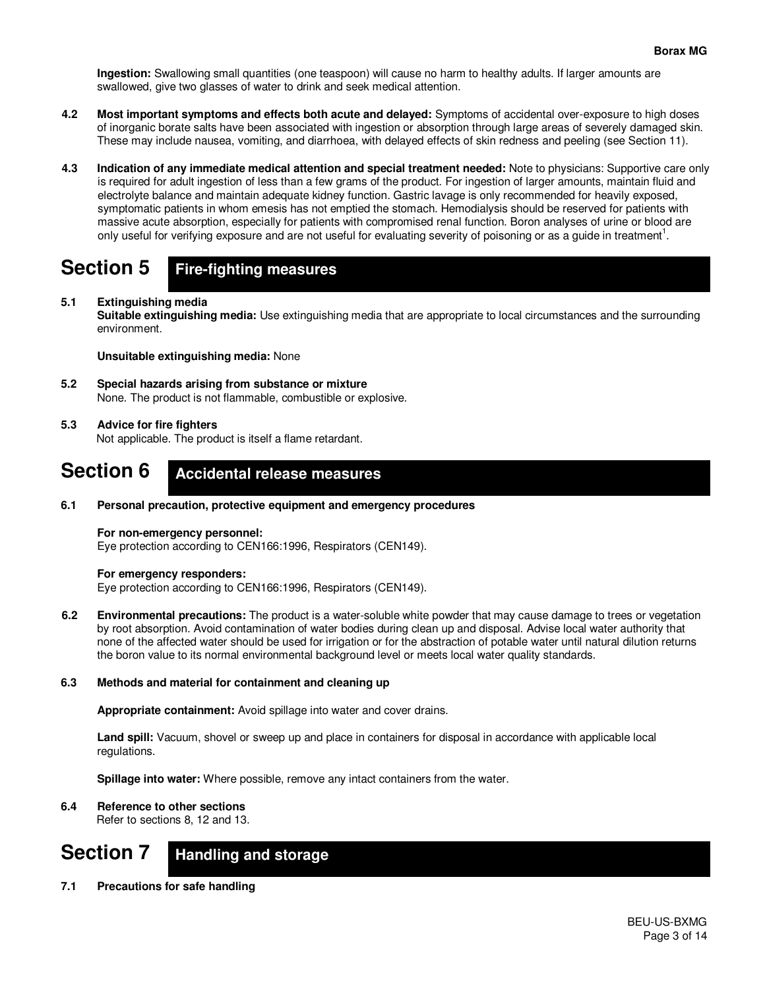**Ingestion:** Swallowing small quantities (one teaspoon) will cause no harm to healthy adults. If larger amounts are swallowed, give two glasses of water to drink and seek medical attention.

- **4.2 Most important symptoms and effects both acute and delayed:** Symptoms of accidental over-exposure to high doses of inorganic borate salts have been associated with ingestion or absorption through large areas of severely damaged skin. These may include nausea, vomiting, and diarrhoea, with delayed effects of skin redness and peeling (see Section 11).
- **4.3 Indication of any immediate medical attention and special treatment needed:** Note to physicians: Supportive care only is required for adult ingestion of less than a few grams of the product. For ingestion of larger amounts, maintain fluid and electrolyte balance and maintain adequate kidney function. Gastric lavage is only recommended for heavily exposed, symptomatic patients in whom emesis has not emptied the stomach. Hemodialysis should be reserved for patients with massive acute absorption, especially for patients with compromised renal function. Boron analyses of urine or blood are only useful for verifying exposure and are not useful for evaluating severity of poisoning or as a guide in treatment<sup>1</sup>.

#### **Section 5 Fire-fighting measures**

## **5.1 Extinguishing media**

 **Suitable extinguishing media:** Use extinguishing media that are appropriate to local circumstances and the surrounding environment.

 **Unsuitable extinguishing media:** None

**5.2 Special hazards arising from substance or mixture** None. The product is not flammable, combustible or explosive.

## **5.3 Advice for fire fighters**

Not applicable. The product is itself a flame retardant.

#### **Section 6 Accidental release measures**

**6.1 Personal precaution, protective equipment and emergency procedures** 

## **For non-emergency personnel:**

Eye protection according to CEN166:1996, Respirators (CEN149).

## **For emergency responders:**

Eye protection according to CEN166:1996, Respirators (CEN149).

**6.2 Environmental precautions:** The product is a water-soluble white powder that may cause damage to trees or vegetation by root absorption. Avoid contamination of water bodies during clean up and disposal. Advise local water authority that none of the affected water should be used for irrigation or for the abstraction of potable water until natural dilution returns the boron value to its normal environmental background level or meets local water quality standards.

## **6.3 Methods and material for containment and cleaning up**

 **Appropriate containment:** Avoid spillage into water and cover drains.

 **Land spill:** Vacuum, shovel or sweep up and place in containers for disposal in accordance with applicable local regulations.

 **Spillage into water:** Where possible, remove any intact containers from the water.

## **6.4 Reference to other sections**

Refer to sections 8, 12 and 13.

#### **Section 7 Handling and storage**

**7.1 Precautions for safe handling**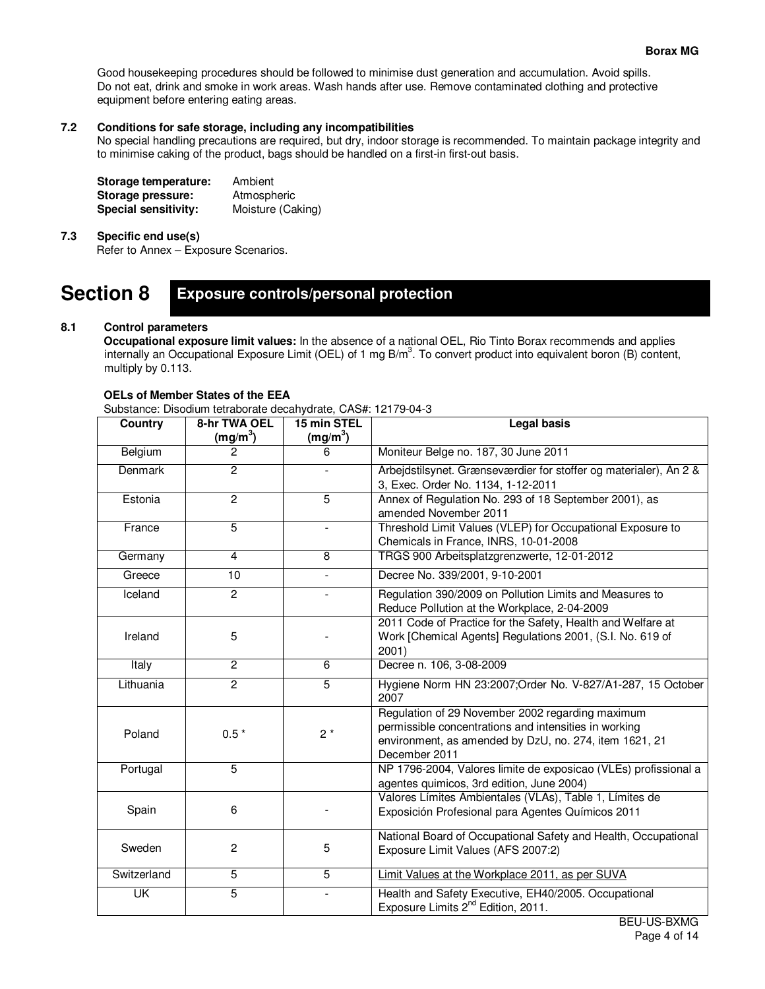Good housekeeping procedures should be followed to minimise dust generation and accumulation. Avoid spills. Do not eat, drink and smoke in work areas. Wash hands after use. Remove contaminated clothing and protective equipment before entering eating areas.

## **7.2 Conditions for safe storage, including any incompatibilities**

No special handling precautions are required, but dry, indoor storage is recommended. To maintain package integrity and to minimise caking of the product, bags should be handled on a first-in first-out basis.

| Storage temperature:        | Ambient           |
|-----------------------------|-------------------|
| Storage pressure:           | Atmospheric       |
| <b>Special sensitivity:</b> | Moisture (Caking) |

## **7.3 Specific end use(s)**

Refer to Annex – Exposure Scenarios.

#### **Section 8 Exposure controls/personal protection**

## **8.1 Control parameters**

**Occupational exposure limit values:** In the absence of a national OEL, Rio Tinto Borax recommends and applies internally an Occupational Exposure Limit (OEL) of 1 mg B/m<sup>3</sup>. To convert product into equivalent boron (B) content, multiply by 0.113.

#### **OELs of Member States of the EEA**

Substance: Disodium tetraborate decahydrate, CAS#: 12179-04-3

| <b>Country</b> | 8-hr TWA OEL<br>(mg/m <sup>3</sup> ) | <b>Legal basis</b><br>15 min STEL<br>(mg/m <sup>3</sup> ) |                                                                                                                                                                                      |  |  |  |  |  |  |
|----------------|--------------------------------------|-----------------------------------------------------------|--------------------------------------------------------------------------------------------------------------------------------------------------------------------------------------|--|--|--|--|--|--|
| Belgium        | 2                                    | 6                                                         | Moniteur Belge no. 187, 30 June 2011                                                                                                                                                 |  |  |  |  |  |  |
| Denmark        | $\overline{2}$                       | $\overline{a}$                                            | Arbejdstilsynet. Grænseværdier for stoffer og materialer), An 2 &<br>3, Exec. Order No. 1134, 1-12-2011                                                                              |  |  |  |  |  |  |
| Estonia        | $\overline{2}$                       | $\overline{5}$                                            | Annex of Regulation No. 293 of 18 September 2001), as<br>amended November 2011                                                                                                       |  |  |  |  |  |  |
| France         | $\overline{5}$                       | $\overline{\phantom{a}}$                                  | Threshold Limit Values (VLEP) for Occupational Exposure to<br>Chemicals in France, INRS, 10-01-2008                                                                                  |  |  |  |  |  |  |
| Germany        | $\overline{4}$                       | 8                                                         | TRGS 900 Arbeitsplatzgrenzwerte, 12-01-2012                                                                                                                                          |  |  |  |  |  |  |
| Greece         | 10                                   | $\blacksquare$                                            | Decree No. 339/2001, 9-10-2001                                                                                                                                                       |  |  |  |  |  |  |
| Iceland        | $\overline{2}$                       |                                                           | Regulation 390/2009 on Pollution Limits and Measures to<br>Reduce Pollution at the Workplace, 2-04-2009                                                                              |  |  |  |  |  |  |
| Ireland        | 5                                    |                                                           | 2011 Code of Practice for the Safety, Health and Welfare at<br>Work [Chemical Agents] Regulations 2001, (S.I. No. 619 of<br>2001)                                                    |  |  |  |  |  |  |
| Italy          | $\mathbf{2}$                         | 6                                                         | Decree n. 106, 3-08-2009                                                                                                                                                             |  |  |  |  |  |  |
| Lithuania      | $\overline{2}$                       | $\overline{5}$                                            | Hygiene Norm HN 23:2007;Order No. V-827/A1-287, 15 October<br>2007                                                                                                                   |  |  |  |  |  |  |
| Poland         | $0.5*$                               | $2*$                                                      | Regulation of 29 November 2002 regarding maximum<br>permissible concentrations and intensities in working<br>environment, as amended by DzU, no. 274, item 1621, 21<br>December 2011 |  |  |  |  |  |  |
| Portugal       | $\overline{5}$                       |                                                           | NP 1796-2004, Valores limite de exposicao (VLEs) profissional a<br>agentes quimicos, 3rd edition, June 2004)                                                                         |  |  |  |  |  |  |
| Spain          | 6                                    |                                                           | Valores Límites Ambientales (VLAs), Table 1, Límites de<br>Exposición Profesional para Agentes Químicos 2011                                                                         |  |  |  |  |  |  |
| Sweden         | $\overline{c}$                       | 5                                                         | National Board of Occupational Safety and Health, Occupational<br>Exposure Limit Values (AFS 2007:2)                                                                                 |  |  |  |  |  |  |
| Switzerland    | $\overline{5}$                       | 5                                                         | Limit Values at the Workplace 2011, as per SUVA                                                                                                                                      |  |  |  |  |  |  |
| UK             | $\overline{5}$                       |                                                           | Health and Safety Executive, EH40/2005. Occupational<br>Exposure Limits 2 <sup>nd</sup> Edition, 2011.                                                                               |  |  |  |  |  |  |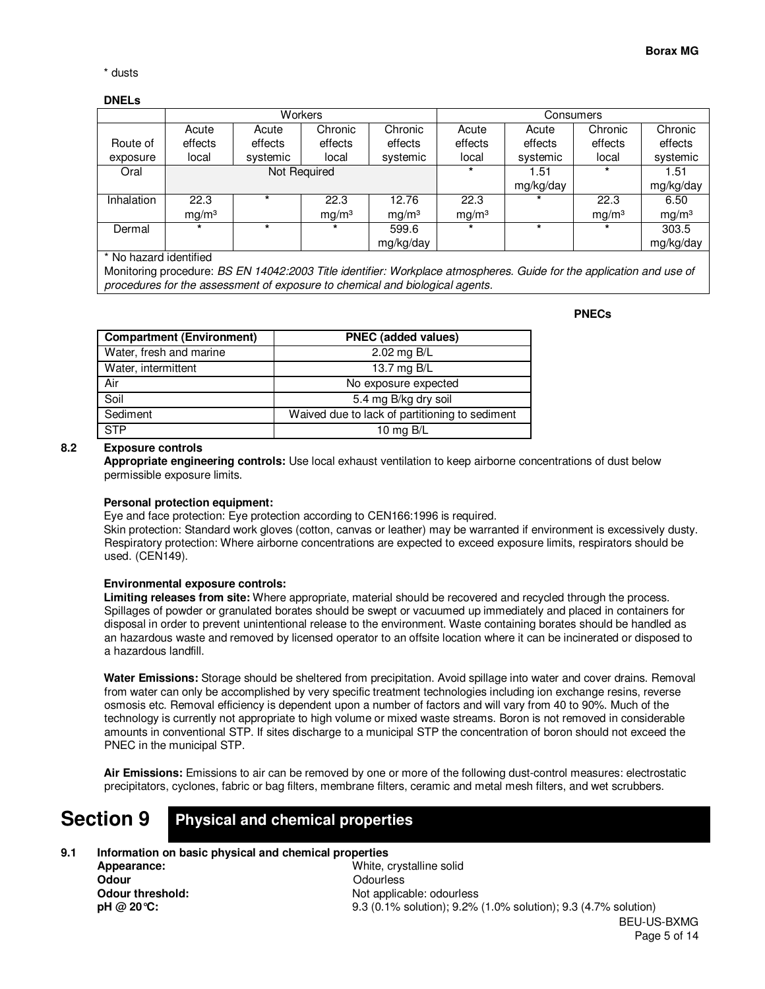\* dusts

## **DNELs**

|            |                   | <b>Workers</b> |                   |                   | Consumers         |           |                   |                   |  |  |
|------------|-------------------|----------------|-------------------|-------------------|-------------------|-----------|-------------------|-------------------|--|--|
|            | Acute             | Acute          | Chronic           | Chronic           | Acute             | Acute     | Chronic           | Chronic           |  |  |
| Route of   | effects           | effects        | effects           | effects           | effects           | effects   | effects           | effects           |  |  |
| exposure   | local             | systemic       | local             | systemic          | local             | systemic  | local             | systemic          |  |  |
| Oral       |                   | Not Required   |                   |                   |                   | 1.51      |                   | 1.51              |  |  |
|            |                   |                |                   |                   |                   | mg/kg/day |                   | mg/kg/day         |  |  |
| Inhalation | 22.3              |                | 22.3              | 12.76             | 22.3              | $\star$   | 22.3              | 6.50              |  |  |
|            | mq/m <sup>3</sup> |                | mq/m <sup>3</sup> | mq/m <sup>3</sup> | mq/m <sup>3</sup> |           | mq/m <sup>3</sup> | mg/m <sup>3</sup> |  |  |
| Dermal     | $\star$           | ÷              |                   | 599.6             | $\star$           |           |                   | 303.5             |  |  |
|            |                   |                |                   | mg/kg/day         |                   |           |                   | mg/kg/day         |  |  |

\* No hazard identified

Monitoring procedure: *BS EN 14042:2003 Title identifier: Workplace atmospheres. Guide for the application and use of procedures for the assessment of exposure to chemical and biological agents.*

#### **PNECs**

| <b>Compartment (Environment)</b> | <b>PNEC</b> (added values)                     |
|----------------------------------|------------------------------------------------|
| Water, fresh and marine          | 2.02 mg B/L                                    |
| Water, intermittent              | 13.7 mg B/L                                    |
| Air                              | No exposure expected                           |
| Soil                             | 5.4 mg B/kg dry soil                           |
| Sediment                         | Waived due to lack of partitioning to sediment |
| <b>STP</b>                       | 10 mg $B/L$                                    |

## **8.2 Exposure controls**

**Appropriate engineering controls:** Use local exhaust ventilation to keep airborne concentrations of dust below permissible exposure limits.

#### **Personal protection equipment:**

Eye and face protection: Eye protection according to CEN166:1996 is required.

Skin protection: Standard work gloves (cotton, canvas or leather) may be warranted if environment is excessively dusty. Respiratory protection: Where airborne concentrations are expected to exceed exposure limits, respirators should be used. (CEN149).

## **Environmental exposure controls:**

**Limiting releases from site:** Where appropriate, material should be recovered and recycled through the process. Spillages of powder or granulated borates should be swept or vacuumed up immediately and placed in containers for disposal in order to prevent unintentional release to the environment. Waste containing borates should be handled as an hazardous waste and removed by licensed operator to an offsite location where it can be incinerated or disposed to a hazardous landfill.

**Water Emissions:** Storage should be sheltered from precipitation. Avoid spillage into water and cover drains. Removal from water can only be accomplished by very specific treatment technologies including ion exchange resins, reverse osmosis etc. Removal efficiency is dependent upon a number of factors and will vary from 40 to 90%. Much of the technology is currently not appropriate to high volume or mixed waste streams. Boron is not removed in considerable amounts in conventional STP. If sites discharge to a municipal STP the concentration of boron should not exceed the PNEC in the municipal STP.

**Air Emissions:** Emissions to air can be removed by one or more of the following dust-control measures: electrostatic precipitators, cyclones, fabric or bag filters, membrane filters, ceramic and metal mesh filters, and wet scrubbers.

**Section 9**

## **Physical and chemical properties**

**9.1 Information on basic physical and chemical properties** 

 **Appearance: Odour Odour threshold: pH @ 20°C:** 

BEU-US-BXMG Page 5 of 14 White, crystalline solid **Odourless** Not applicable: odourless 9.3 (0.1% solution); 9.2% (1.0% solution); 9.3 (4.7% solution)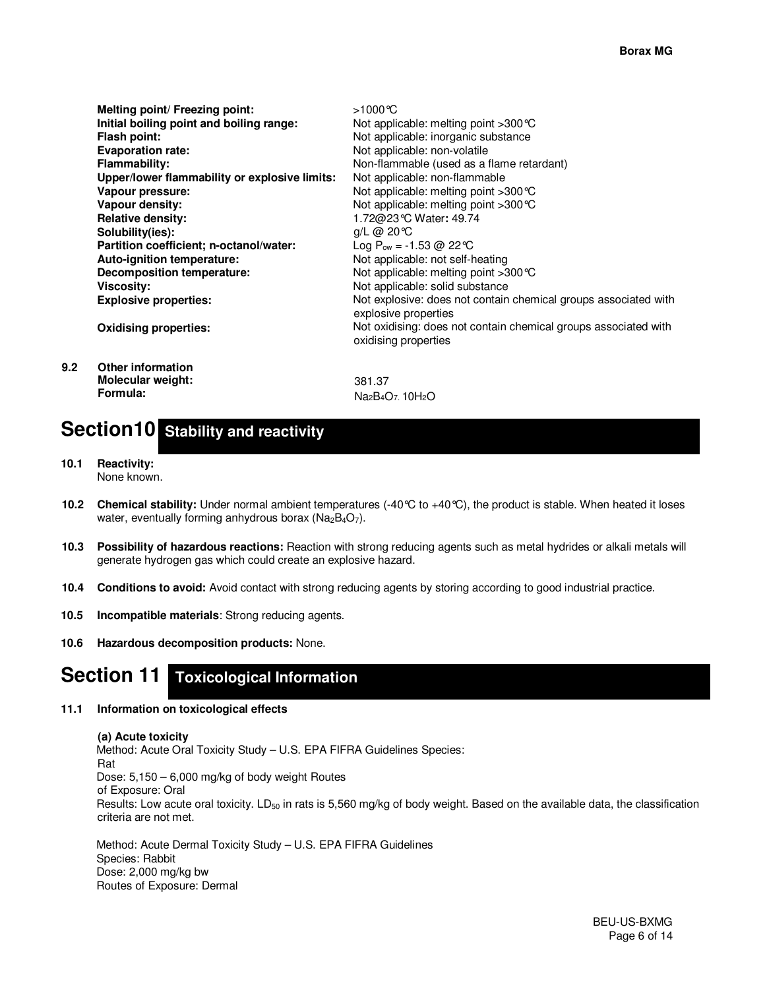|     | Melting point/ Freezing point:                | >1000℃                                                                                  |
|-----|-----------------------------------------------|-----------------------------------------------------------------------------------------|
|     | Initial boiling point and boiling range:      | Not applicable: melting point $>300^{\circ}$ C                                          |
|     | Flash point:                                  | Not applicable: inorganic substance                                                     |
|     | <b>Evaporation rate:</b>                      | Not applicable: non-volatile                                                            |
|     | <b>Flammability:</b>                          | Non-flammable (used as a flame retardant)                                               |
|     | Upper/lower flammability or explosive limits: | Not applicable: non-flammable                                                           |
|     | Vapour pressure:                              | Not applicable: melting point >300 ℃                                                    |
|     | Vapour density:                               | Not applicable: melting point $>300^{\circ}$ C                                          |
|     | <b>Relative density:</b>                      | 1.72@23℃ Water: 49.74                                                                   |
|     | Solubility(ies):                              | $q/L$ @ 20 °C                                                                           |
|     | Partition coefficient; n-octanol/water:       | Log P <sub>ow</sub> = -1.53 @ 22 °C                                                     |
|     | Auto-ignition temperature:                    | Not applicable: not self-heating                                                        |
|     | Decomposition temperature:                    | Not applicable: melting point >300 ℃                                                    |
|     | Viscosity:                                    | Not applicable: solid substance                                                         |
|     | <b>Explosive properties:</b>                  | Not explosive: does not contain chemical groups associated with<br>explosive properties |
|     | <b>Oxidising properties:</b>                  | Not oxidising: does not contain chemical groups associated with<br>oxidising properties |
| 9.2 | <b>Other information</b>                      |                                                                                         |
|     | <b>Molecular weight:</b>                      | 381.37                                                                                  |

Na<sub>2</sub>B<sub>4</sub>O<sub>7</sub>. 10H<sub>2</sub>O

# Section10 Stability and reactivity

**10.1 Reactivity:**  None known.

**Formula:** 

- **10.2 Chemical stability:** Under normal ambient temperatures (-40°C to +40°C), the product is stable. When heated it loses water, eventually forming anhydrous borax ( $Na_2B_4O_7$ ).
- **10.3 Possibility of hazardous reactions:** Reaction with strong reducing agents such as metal hydrides or alkali metals will generate hydrogen gas which could create an explosive hazard.
- **10.4 Conditions to avoid:** Avoid contact with strong reducing agents by storing according to good industrial practice.
- **10.5 Incompatible materials**: Strong reducing agents.
- **10.6 Hazardous decomposition products:** None.

# **Section 11 Toxicological Information**

### **11.1 Information on toxicological effects**

## **(a) Acute toxicity**  Method: Acute Oral Toxicity Study – U.S. EPA FIFRA Guidelines Species: Rat Dose: 5,150 – 6,000 mg/kg of body weight Routes of Exposure: Oral Results: Low acute oral toxicity.  $LD_{50}$  in rats is 5,560 mg/kg of body weight. Based on the available data, the classification criteria are not met.

Method: Acute Dermal Toxicity Study – U.S. EPA FIFRA Guidelines Species: Rabbit Dose: 2,000 mg/kg bw Routes of Exposure: Dermal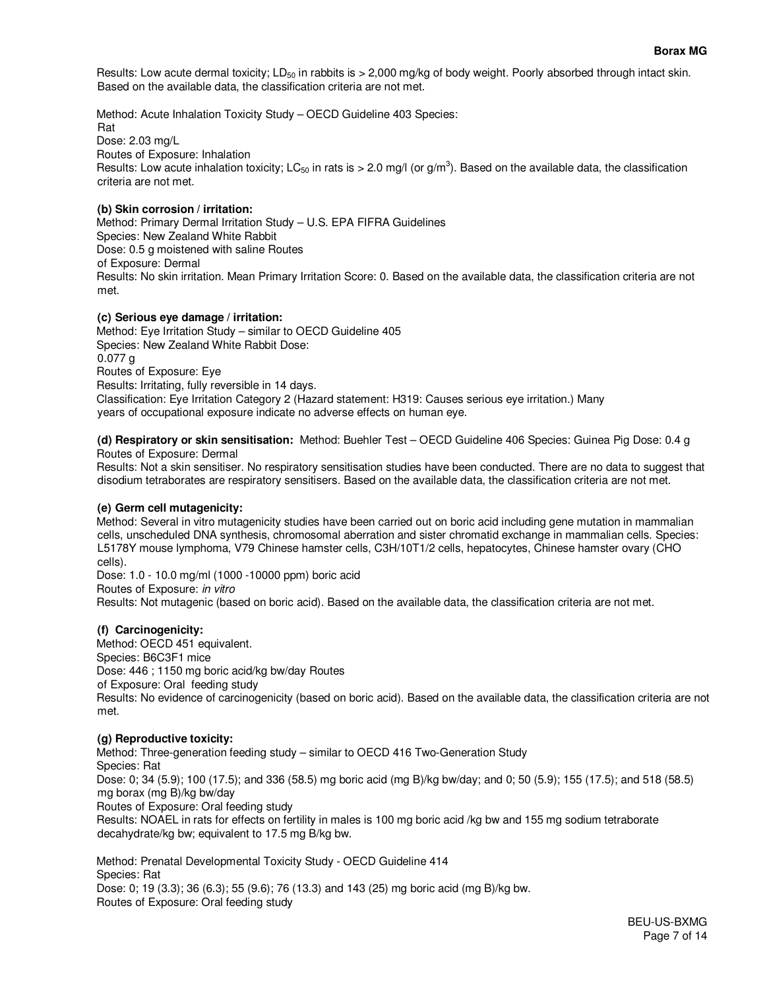Results: Low acute dermal toxicity; LD<sub>50</sub> in rabbits is  $> 2,000$  mg/kg of body weight. Poorly absorbed through intact skin. Based on the available data, the classification criteria are not met.

Method: Acute Inhalation Toxicity Study – OECD Guideline 403 Species: Rat Dose: 2.03 mg/L Routes of Exposure: Inhalation Results: Low acute inhalation toxicity; LC<sub>50</sub> in rats is > 2.0 mg/l (or g/m<sup>3</sup>). Based on the available data, the classification criteria are not met.

## **(b) Skin corrosion / irritation:**

Method: Primary Dermal Irritation Study – U.S. EPA FIFRA Guidelines Species: New Zealand White Rabbit Dose: 0.5 g moistened with saline Routes of Exposure: Dermal Results: No skin irritation. Mean Primary Irritation Score: 0. Based on the available data, the classification criteria are not met.

#### **(c) Serious eye damage / irritation:**

Method: Eye Irritation Study – similar to OECD Guideline 405 Species: New Zealand White Rabbit Dose: 0.077 g Routes of Exposure: Eye Results: Irritating, fully reversible in 14 days. Classification: Eye Irritation Category 2 (Hazard statement: H319: Causes serious eye irritation.) Many years of occupational exposure indicate no adverse effects on human eye.

**(d) Respiratory or skin sensitisation:** Method: Buehler Test – OECD Guideline 406 Species: Guinea Pig Dose: 0.4 g Routes of Exposure: Dermal

Results: Not a skin sensitiser. No respiratory sensitisation studies have been conducted. There are no data to suggest that disodium tetraborates are respiratory sensitisers. Based on the available data, the classification criteria are not met.

## **(e) Germ cell mutagenicity:**

Method: Several in vitro mutagenicity studies have been carried out on boric acid including gene mutation in mammalian cells, unscheduled DNA synthesis, chromosomal aberration and sister chromatid exchange in mammalian cells. Species: L5178Y mouse lymphoma, V79 Chinese hamster cells, C3H/10T1/2 cells, hepatocytes, Chinese hamster ovary (CHO cells).

Dose: 1.0 - 10.0 mg/ml (1000 -10000 ppm) boric acid Routes of Exposure: *in vitro* Results: Not mutagenic (based on boric acid). Based on the available data, the classification criteria are not met.

#### **(f) Carcinogenicity:**

Method: OECD 451 equivalent. Species: B6C3F1 mice Dose: 446 ; 1150 mg boric acid/kg bw/day Routes of Exposure: Oral feeding study Results: No evidence of carcinogenicity (based on boric acid). Based on the available data, the classification criteria are not met.

#### **(g) Reproductive toxicity:**

Method: Three-generation feeding study – similar to OECD 416 Two-Generation Study Species: Rat Dose: 0; 34 (5.9); 100 (17.5); and 336 (58.5) mg boric acid (mg B)/kg bw/day; and 0; 50 (5.9); 155 (17.5); and 518 (58.5) mg borax (mg B)/kg bw/day Routes of Exposure: Oral feeding study Results: NOAEL in rats for effects on fertility in males is 100 mg boric acid /kg bw and 155 mg sodium tetraborate decahydrate/kg bw; equivalent to 17.5 mg B/kg bw.

Method: Prenatal Developmental Toxicity Study - OECD Guideline 414 Species: Rat Dose: 0; 19 (3.3); 36 (6.3); 55 (9.6); 76 (13.3) and 143 (25) mg boric acid (mg B)/kg bw. Routes of Exposure: Oral feeding study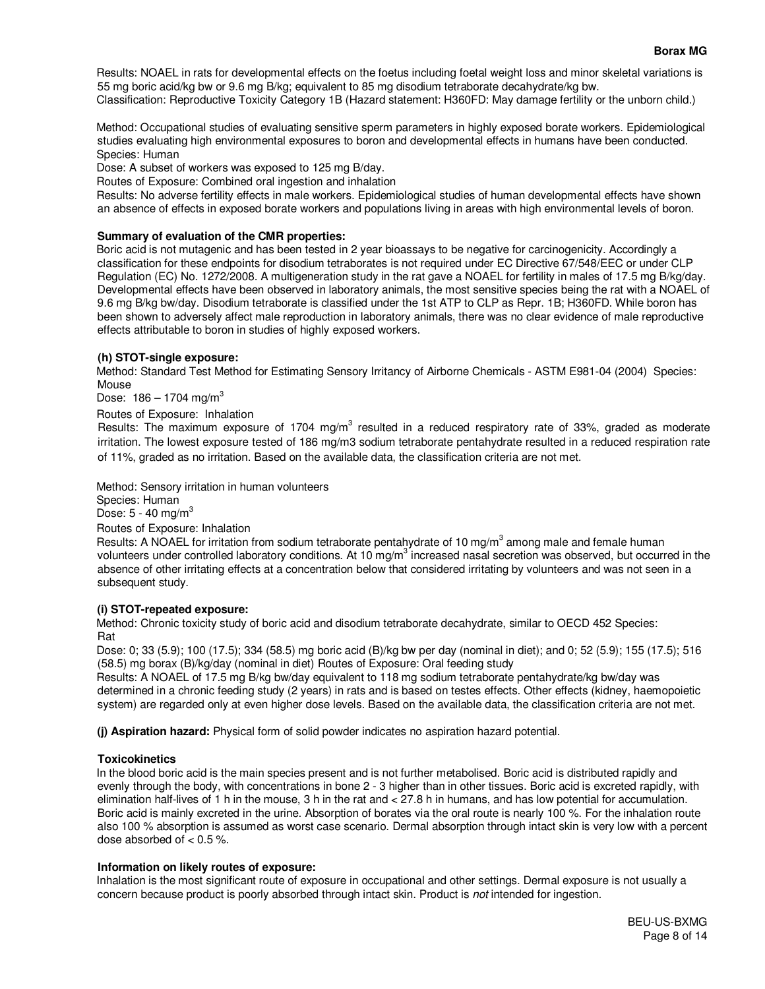### **Borax MG**

Results: NOAEL in rats for developmental effects on the foetus including foetal weight loss and minor skeletal variations is 55 mg boric acid/kg bw or 9.6 mg B/kg; equivalent to 85 mg disodium tetraborate decahydrate/kg bw. Classification: Reproductive Toxicity Category 1B (Hazard statement: H360FD: May damage fertility or the unborn child.)

Method: Occupational studies of evaluating sensitive sperm parameters in highly exposed borate workers. Epidemiological studies evaluating high environmental exposures to boron and developmental effects in humans have been conducted. Species: Human

Dose: A subset of workers was exposed to 125 mg B/day.

Routes of Exposure: Combined oral ingestion and inhalation

Results: No adverse fertility effects in male workers. Epidemiological studies of human developmental effects have shown an absence of effects in exposed borate workers and populations living in areas with high environmental levels of boron.

## **Summary of evaluation of the CMR properties:**

Boric acid is not mutagenic and has been tested in 2 year bioassays to be negative for carcinogenicity. Accordingly a classification for these endpoints for disodium tetraborates is not required under EC Directive 67/548/EEC or under CLP Regulation (EC) No. 1272/2008. A multigeneration study in the rat gave a NOAEL for fertility in males of 17.5 mg B/kg/day. Developmental effects have been observed in laboratory animals, the most sensitive species being the rat with a NOAEL of 9.6 mg B/kg bw/day. Disodium tetraborate is classified under the 1st ATP to CLP as Repr. 1B; H360FD. While boron has been shown to adversely affect male reproduction in laboratory animals, there was no clear evidence of male reproductive effects attributable to boron in studies of highly exposed workers.

## **(h) STOT-single exposure:**

Method: Standard Test Method for Estimating Sensory Irritancy of Airborne Chemicals - ASTM E981-04 (2004) Species: Mouse

Dose:  $186 - 1704$  mg/m<sup>3</sup>

Routes of Exposure: Inhalation

Results: The maximum exposure of 1704 mg/m<sup>3</sup> resulted in a reduced respiratory rate of 33%, graded as moderate irritation. The lowest exposure tested of 186 mg/m3 sodium tetraborate pentahydrate resulted in a reduced respiration rate of 11%, graded as no irritation. Based on the available data, the classification criteria are not met.

Method: Sensory irritation in human volunteers Species: Human

Dose:  $5 - 40$  mg/m<sup>3</sup>

Routes of Exposure: Inhalation

Results: A NOAEL for irritation from sodium tetraborate pentahydrate of 10 mg/m<sup>3</sup> among male and female human volunteers under controlled laboratory conditions. At 10 mg/m<sup>3</sup> increased nasal secretion was observed, but occurred in the absence of other irritating effects at a concentration below that considered irritating by volunteers and was not seen in a subsequent study.

#### **(i) STOT-repeated exposure:**

Method: Chronic toxicity study of boric acid and disodium tetraborate decahydrate, similar to OECD 452 Species: Rat

Dose: 0; 33 (5.9); 100 (17.5); 334 (58.5) mg boric acid (B)/kg bw per day (nominal in diet); and 0; 52 (5.9); 155 (17.5); 516 (58.5) mg borax (B)/kg/day (nominal in diet) Routes of Exposure: Oral feeding study

Results: A NOAEL of 17.5 mg B/kg bw/day equivalent to 118 mg sodium tetraborate pentahydrate/kg bw/day was determined in a chronic feeding study (2 years) in rats and is based on testes effects. Other effects (kidney, haemopoietic system) are regarded only at even higher dose levels. Based on the available data, the classification criteria are not met.

**(j) Aspiration hazard:** Physical form of solid powder indicates no aspiration hazard potential.

## **Toxicokinetics**

In the blood boric acid is the main species present and is not further metabolised. Boric acid is distributed rapidly and evenly through the body, with concentrations in bone 2 - 3 higher than in other tissues. Boric acid is excreted rapidly, with elimination half-lives of 1 h in the mouse, 3 h in the rat and < 27.8 h in humans, and has low potential for accumulation. Boric acid is mainly excreted in the urine. Absorption of borates via the oral route is nearly 100 %. For the inhalation route also 100 % absorption is assumed as worst case scenario. Dermal absorption through intact skin is very low with a percent dose absorbed of  $< 0.5$ %.

#### **Information on likely routes of exposure:**

Inhalation is the most significant route of exposure in occupational and other settings. Dermal exposure is not usually a concern because product is poorly absorbed through intact skin. Product is *not* intended for ingestion.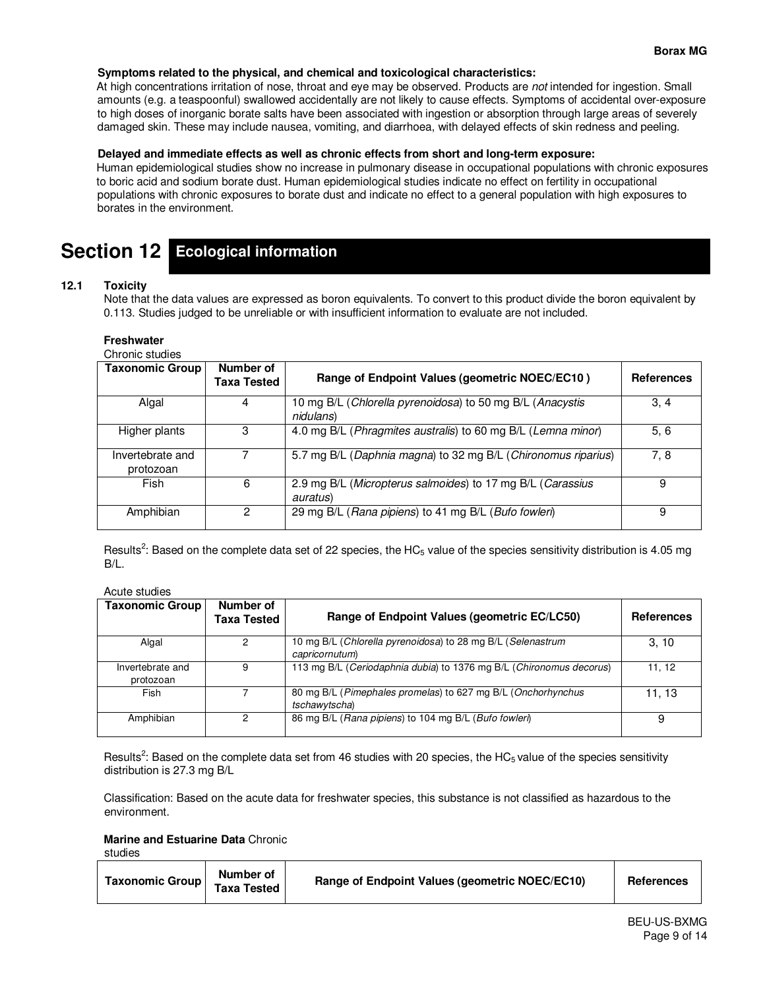## **Symptoms related to the physical, and chemical and toxicological characteristics:**

At high concentrations irritation of nose, throat and eye may be observed. Products are *not* intended for ingestion. Small amounts (e.g. a teaspoonful) swallowed accidentally are not likely to cause effects. Symptoms of accidental over-exposure to high doses of inorganic borate salts have been associated with ingestion or absorption through large areas of severely damaged skin. These may include nausea, vomiting, and diarrhoea, with delayed effects of skin redness and peeling.

### **Delayed and immediate effects as well as chronic effects from short and long-term exposure:**

Human epidemiological studies show no increase in pulmonary disease in occupational populations with chronic exposures to boric acid and sodium borate dust. Human epidemiological studies indicate no effect on fertility in occupational populations with chronic exposures to borate dust and indicate no effect to a general population with high exposures to borates in the environment.

# **Section 12 Ecological information**

## **12.1 Toxicity**

Note that the data values are expressed as boron equivalents. To convert to this product divide the boron equivalent by 0.113. Studies judged to be unreliable or with insufficient information to evaluate are not included.

## **Freshwater**

Chronic studies

| <b>Taxonomic Group</b>        | Number of<br>Taxa Tested | Range of Endpoint Values (geometric NOEC/EC10)                         | <b>References</b> |
|-------------------------------|--------------------------|------------------------------------------------------------------------|-------------------|
| Algal                         | 4                        | 10 mg B/L (Chlorella pyrenoidosa) to 50 mg B/L (Anacystis<br>nidulans) | 3, 4              |
| Higher plants                 | 3                        | 4.0 mg B/L (Phragmites australis) to 60 mg B/L (Lemna minor)           | 5, 6              |
| Invertebrate and<br>protozoan |                          | 5.7 mg B/L (Daphnia magna) to 32 mg B/L (Chironomus riparius)          | 7, 8              |
| Fish                          | 6                        | 2.9 mg B/L (Micropterus salmoides) to 17 mg B/L (Carassius<br>auratus) | 9                 |
| Amphibian                     | 2                        | 29 mg B/L (Rana pipiens) to 41 mg B/L (Bufo fowleri)                   | 9                 |

Results<sup>2</sup>: Based on the complete data set of 22 species, the HC<sub>5</sub> value of the species sensitivity distribution is 4.05 mg B/L.

#### Acute studies

| <b>Taxonomic Group</b>        | Number of<br><b>Taxa Tested</b> | Range of Endpoint Values (geometric EC/LC50)                                  | <b>References</b> |
|-------------------------------|---------------------------------|-------------------------------------------------------------------------------|-------------------|
| Algal                         |                                 | 10 mg B/L (Chlorella pyrenoidosa) to 28 mg B/L (Selenastrum<br>capricornutum) | 3.10              |
| Invertebrate and<br>protozoan | 9                               | 113 mg B/L (Ceriodaphnia dubia) to 1376 mg B/L (Chironomus decorus)           | 11.12             |
| Fish                          |                                 | 80 mg B/L (Pimephales promelas) to 627 mg B/L (Onchorhynchus<br>tschawytscha) | 11.13             |
| Amphibian                     | 2                               | 86 mg B/L (Rana pipiens) to 104 mg B/L (Bufo fowleri)                         | 9                 |

Results<sup>2</sup>: Based on the complete data set from 46 studies with 20 species, the HC<sub>5</sub> value of the species sensitivity distribution is 27.3 mg B/L

Classification: Based on the acute data for freshwater species, this substance is not classified as hazardous to the environment.

**Marine and Estuarine Data** Chronic

studies

| Taxonomic Group | Number of<br><b>Taxa Tested</b> | Range of Endpoint Values (geometric NOEC/EC10) | <b>References</b> |
|-----------------|---------------------------------|------------------------------------------------|-------------------|
|-----------------|---------------------------------|------------------------------------------------|-------------------|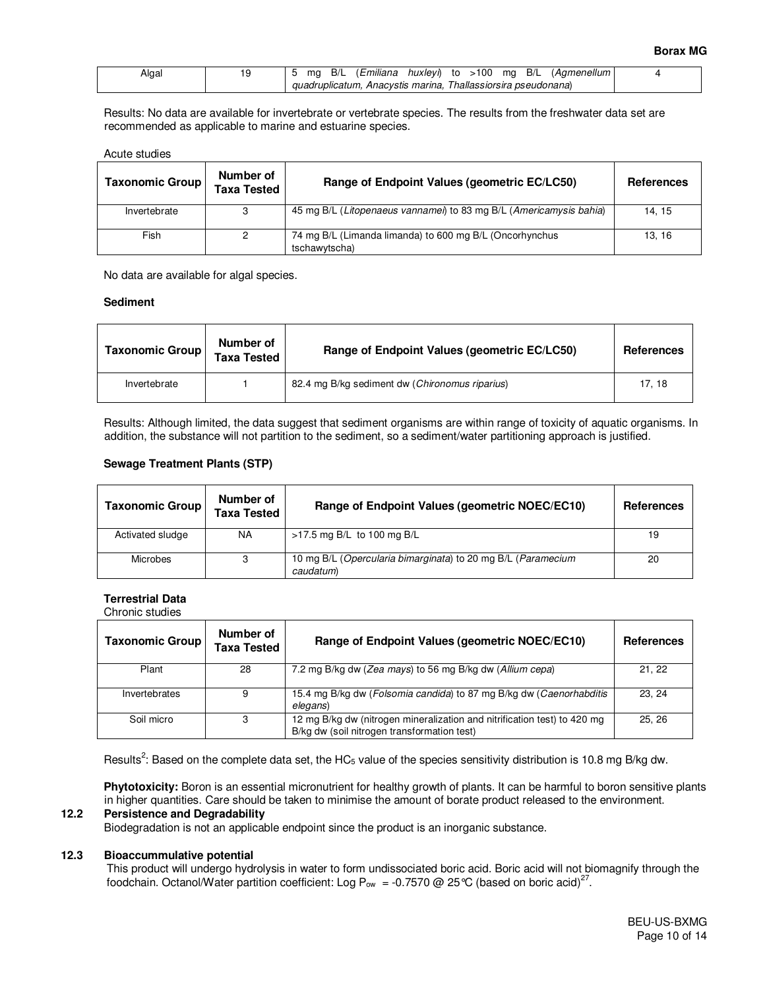| Algal |  |  |                                                               |  |  | mg B/L ( <i>Emiliana huxleyi</i> ) to >100 mg B/L (Agmenellum) |  |
|-------|--|--|---------------------------------------------------------------|--|--|----------------------------------------------------------------|--|
|       |  |  | guadruplicatum, Anacystis marina, Thallassiorsira pseudonana) |  |  |                                                                |  |

Results: No data are available for invertebrate or vertebrate species. The results from the freshwater data set are recommended as applicable to marine and estuarine species.

#### Acute studies

| <b>Taxonomic Group</b> | Number of<br><b>Taxa Tested</b> | Range of Endpoint Values (geometric EC/LC50)                             | <b>References</b> |
|------------------------|---------------------------------|--------------------------------------------------------------------------|-------------------|
| Invertebrate           | 3                               | 45 mg B/L (Litopenaeus vannamei) to 83 mg B/L (Americamysis bahia)       | 14.15             |
| Fish                   | 2                               | 74 mg B/L (Limanda limanda) to 600 mg B/L (Oncorhynchus<br>tschawytscha) | 13.16             |

No data are available for algal species.

## **Sediment**

| <b>Taxonomic Group</b> | Number of<br><b>Taxa Tested</b> | Range of Endpoint Values (geometric EC/LC50)   | <b>References</b> |
|------------------------|---------------------------------|------------------------------------------------|-------------------|
| Invertebrate           |                                 | 82.4 mg B/kg sediment dw (Chironomus riparius) | 17.18             |

Results: Although limited, the data suggest that sediment organisms are within range of toxicity of aquatic organisms. In addition, the substance will not partition to the sediment, so a sediment/water partitioning approach is justified.

## **Sewage Treatment Plants (STP)**

| <b>Taxonomic Group</b> | Number of<br><b>Taxa Tested</b> | Range of Endpoint Values (geometric NOEC/EC10)                            | <b>References</b> |  |
|------------------------|---------------------------------|---------------------------------------------------------------------------|-------------------|--|
| Activated sludge       | NA                              | $>17.5$ mg B/L to 100 mg B/L                                              | 19                |  |
| <b>Microbes</b>        | 3                               | 10 mg B/L (Opercularia bimarginata) to 20 mg B/L (Paramecium<br>caudatum) | 20                |  |

#### **Terrestrial Data**  Chronic studies

| Taxonomic Group | Number of<br><b>Taxa Tested</b> | Range of Endpoint Values (geometric NOEC/EC10)                                                                          | <b>References</b> |
|-----------------|---------------------------------|-------------------------------------------------------------------------------------------------------------------------|-------------------|
| Plant           | 28                              | 7.2 mg B/kg dw (Zea mays) to 56 mg B/kg dw (Allium cepa)                                                                | 21, 22            |
| Invertebrates   | 9                               | 15.4 mg B/kg dw (Folsomia candida) to 87 mg B/kg dw (Caenorhabditis<br>elegans)                                         | 23.24             |
| Soil micro      | 3                               | 12 mg B/kg dw (nitrogen mineralization and nitrification test) to 420 mg<br>B/kg dw (soil nitrogen transformation test) | 25.26             |

Results<sup>2</sup>: Based on the complete data set, the HC<sub>5</sub> value of the species sensitivity distribution is 10.8 mg B/kg dw.

**Phytotoxicity:** Boron is an essential micronutrient for healthy growth of plants. It can be harmful to boron sensitive plants in higher quantities. Care should be taken to minimise the amount of borate product released to the environment.

#### **12.2 Persistence and Degradability**

Biodegradation is not an applicable endpoint since the product is an inorganic substance.

#### **12.3 Bioaccummulative potential**

This product will undergo hydrolysis in water to form undissociated boric acid. Boric acid will not biomagnify through the foodchain. Octanol/Water partition coefficient: Log P<sub>ow</sub> = -0.7570 @ 25 °C (based on boric acid)<sup>27</sup>.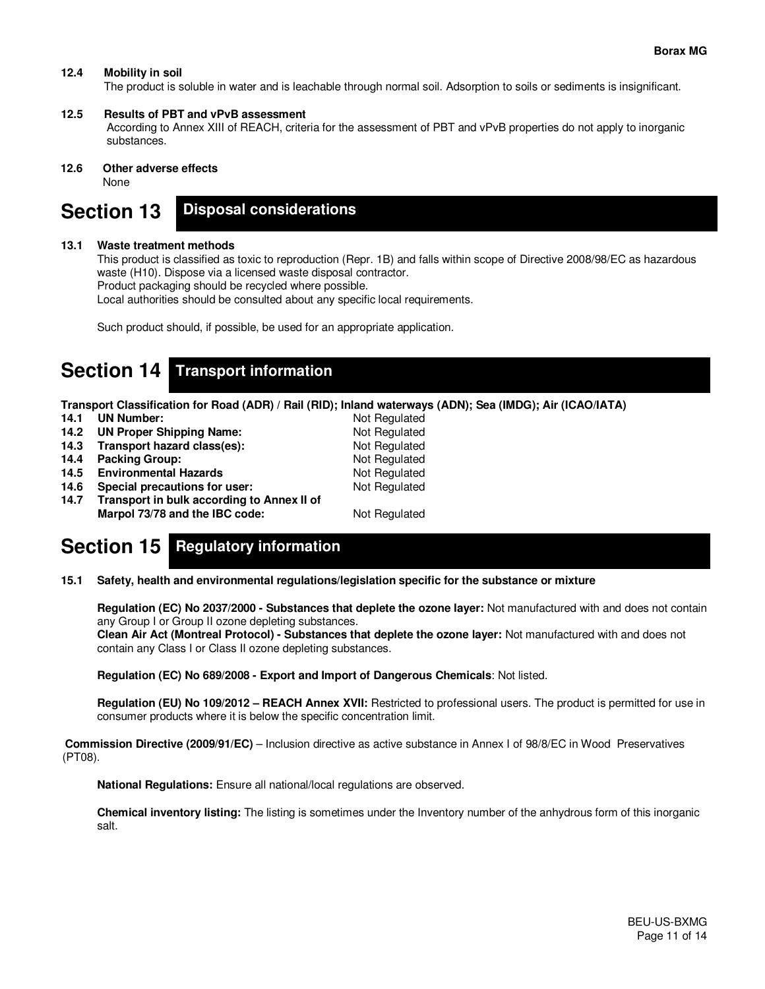## **12.4 Mobility in soil**

The product is soluble in water and is leachable through normal soil. Adsorption to soils or sediments is insignificant.

#### **12.5 Results of PBT and vPvB assessment**

According to Annex XIII of REACH, criteria for the assessment of PBT and vPvB properties do not apply to inorganic substances.

### **12.6 Other adverse effects**

None

#### **Section 13 Disposal considerations**

### **13.1 Waste treatment methods**

This product is classified as toxic to reproduction (Repr. 1B) and falls within scope of Directive 2008/98/EC as hazardous waste (H10). Dispose via a licensed waste disposal contractor.

Product packaging should be recycled where possible.

Local authorities should be consulted about any specific local requirements.

Such product should, if possible, be used for an appropriate application.

## **Section 14 Transport information**

**Transport Classification for Road (ADR) / Rail (RID); Inland waterways (ADN); Sea (IMDG); Air (ICAO/IATA)**

- **14.1 UN Number:** Not Regulated
- 14.2 UN Proper Shipping Name: Not Regulated
- **14.3 Transport hazard class(es):** Not Regulated 14.4 Packing Group: **Not Regulated**
- **14.4 Packing Group:**
- 
- **14.5 Environmental Hazards Not Regulated 14.6 Special precautions for user:** Not Regulated **14.6 Special precautions for user:** 
	-
- **14.7 Transport in bulk according to Annex II of Marpol 73/78 and the IBC code:** Not Regulated

# **Section 15 Regulatory information**

**15.1 Safety, health and environmental regulations/legislation specific for the substance or mixture** 

 **Regulation (EC) No 2037/2000 - Substances that deplete the ozone layer:** Not manufactured with and does not contain any Group I or Group II ozone depleting substances.

 **Clean Air Act (Montreal Protocol) - Substances that deplete the ozone layer:** Not manufactured with and does not contain any Class I or Class II ozone depleting substances.

 **Regulation (EC) No 689/2008 - Export and Import of Dangerous Chemicals**: Not listed.

 **Regulation (EU) No 109/2012 – REACH Annex XVII:** Restricted to professional users. The product is permitted for use in consumer products where it is below the specific concentration limit.

 **Commission Directive (2009/91/EC)** – Inclusion directive as active substance in Annex I of 98/8/EC in Wood Preservatives (PT08).

 **National Regulations:** Ensure all national/local regulations are observed.

 **Chemical inventory listing:** The listing is sometimes under the Inventory number of the anhydrous form of this inorganic salt.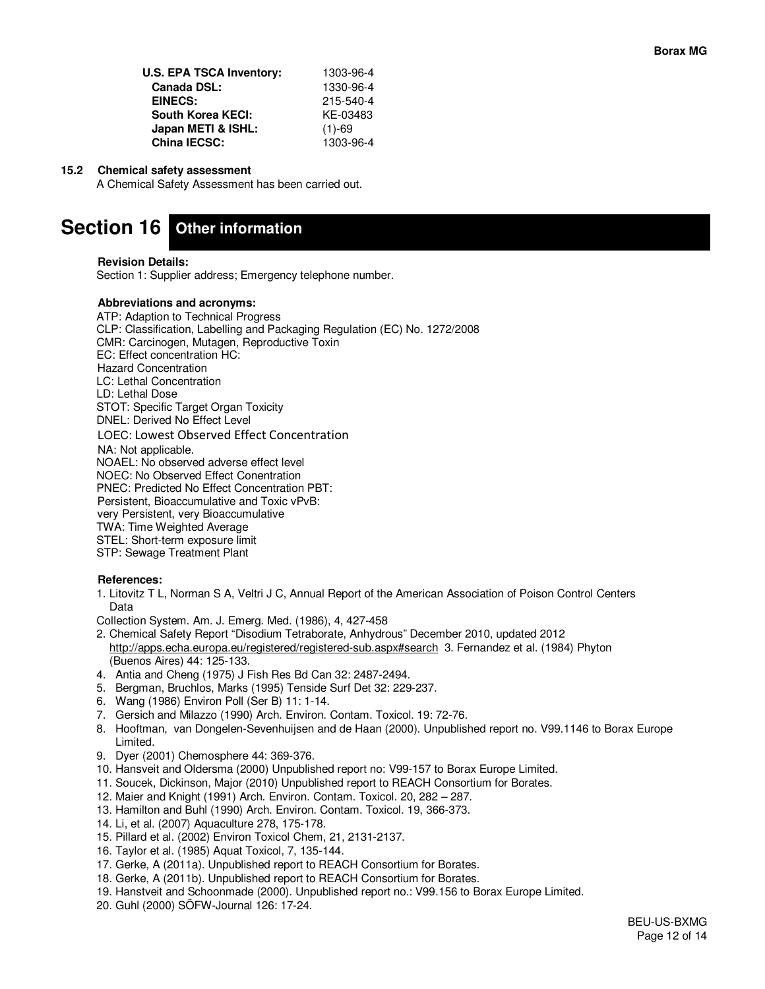| U.S. EPA TSCA Inventory: | 1303-96-4 |
|--------------------------|-----------|
| <b>Canada DSL:</b>       | 1330-96-4 |
| EINECS:                  | 215-540-4 |
| <b>South Korea KECI:</b> | KE-03483  |
| Japan METI & ISHL:       | $(1)-69$  |
| <b>China IECSC:</b>      | 1303-96-4 |

## **15.2 Chemical safety assessment**

A Chemical Safety Assessment has been carried out.

# **Section 16 Other information**

#### **Revision Details:**

Section 1: Supplier address; Emergency telephone number.

#### **Abbreviations and acronyms:**

ATP: Adaption to Technical Progress CLP: Classification, Labelling and Packaging Regulation (EC) No. 1272/2008 CMR: Carcinogen, Mutagen, Reproductive Toxin EC: Effect concentration HC: Hazard Concentration LC: Lethal Concentration LD: Lethal Dose STOT: Specific Target Organ Toxicity DNEL: Derived No Effect Level LOEC: Lowest Observed Effect Concentration NA: Not applicable. NOAEL: No observed adverse effect level NOEC: No Observed Effect Conentration PNEC: Predicted No Effect Concentration PBT: Persistent, Bioaccumulative and Toxic vPvB: very Persistent, very Bioaccumulative TWA: Time Weighted Average STEL: Short-term exposure limit STP: Sewage Treatment Plant

#### **References:**

1. Litovitz T L, Norman S A, Veltri J C, Annual Report of the American Association of Poison Control Centers Data

Collection System. Am. J. Emerg. Med. (1986), 4, 427-458

- 2. Chemical Safety Report "Disodium Tetraborate, Anhydrous" December 2010, updated 2012 http://apps.echa.europa.eu/registered/registered-sub.aspx#search 3. Fernandez et al. (1984) Phyton (Buenos Aires) 44: 125-133.
- 4. Antia and Cheng (1975) J Fish Res Bd Can 32: 2487-2494.
- 5. Bergman, Bruchlos, Marks (1995) Tenside Surf Det 32: 229-237.
- 6. Wang (1986) Environ Poll (Ser B) 11: 1-14.
- 7. Gersich and Milazzo (1990) Arch. Environ. Contam. Toxicol. 19: 72-76.
- 8. Hooftman, van Dongelen-Sevenhuijsen and de Haan (2000). Unpublished report no. V99.1146 to Borax Europe Limited.
- 9. Dyer (2001) Chemosphere 44: 369-376.
- 10. Hansveit and Oldersma (2000) Unpublished report no: V99-157 to Borax Europe Limited.
- 11. Soucek, Dickinson, Major (2010) Unpublished report to REACH Consortium for Borates.
- 12. Maier and Knight (1991) Arch. Environ. Contam. Toxicol. 20, 282 287.
- 13. Hamilton and Buhl (1990) Arch. Environ. Contam. Toxicol. 19, 366-373.
- 14. Li, et al. (2007) Aquaculture 278, 175-178.
- 15. Pillard et al. (2002) Environ Toxicol Chem, 21, 2131-2137.
- 16. Taylor et al. (1985) Aquat Toxicol, 7, 135-144.
- 17. Gerke, A (2011a). Unpublished report to REACH Consortium for Borates.
- 18. Gerke, A (2011b). Unpublished report to REACH Consortium for Borates.
- 19. Hanstveit and Schoonmade (2000). Unpublished report no.: V99.156 to Borax Europe Limited.
- 20. Guhl (2000) SÖFW-Journal 126: 17-24.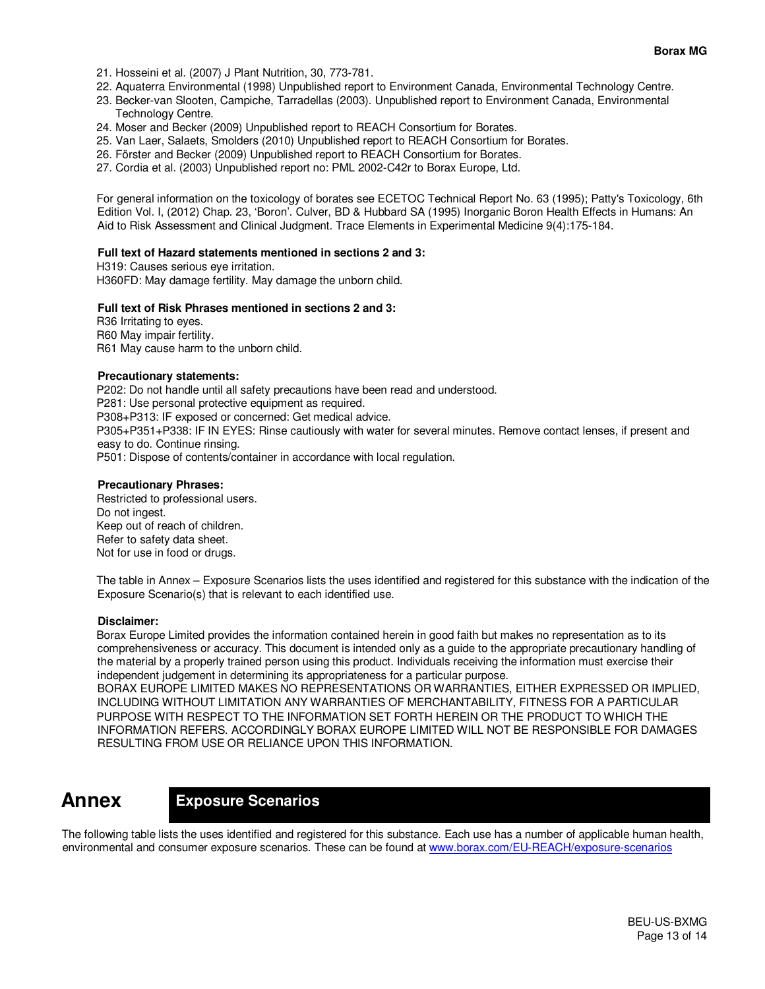- 21. Hosseini et al. (2007) J Plant Nutrition, 30, 773-781.
- 22. Aquaterra Environmental (1998) Unpublished report to Environment Canada, Environmental Technology Centre.
- 23. Becker-van Slooten, Campiche, Tarradellas (2003). Unpublished report to Environment Canada, Environmental Technology Centre.
- 24. Moser and Becker (2009) Unpublished report to REACH Consortium for Borates.
- 25. Van Laer, Salaets, Smolders (2010) Unpublished report to REACH Consortium for Borates.
- 26. Förster and Becker (2009) Unpublished report to REACH Consortium for Borates.
- 27. Cordia et al. (2003) Unpublished report no: PML 2002-C42r to Borax Europe, Ltd.

For general information on the toxicology of borates see ECETOC Technical Report No. 63 (1995); Patty's Toxicology, 6th Edition Vol. I, (2012) Chap. 23, 'Boron'. Culver, BD & Hubbard SA (1995) Inorganic Boron Health Effects in Humans: An Aid to Risk Assessment and Clinical Judgment. Trace Elements in Experimental Medicine 9(4):175-184.

#### **Full text of Hazard statements mentioned in sections 2 and 3:**

H319: Causes serious eye irritation. H360FD: May damage fertility. May damage the unborn child.

## **Full text of Risk Phrases mentioned in sections 2 and 3:**

R36 Irritating to eyes. R60 May impair fertility. R61 May cause harm to the unborn child.

## **Precautionary statements:**

P202: Do not handle until all safety precautions have been read and understood. P281: Use personal protective equipment as required. P308+P313: IF exposed or concerned: Get medical advice. P305+P351+P338: IF IN EYES: Rinse cautiously with water for several minutes. Remove contact lenses, if present and easy to do. Continue rinsing. P501: Dispose of contents/container in accordance with local regulation.

#### **Precautionary Phrases:**

Restricted to professional users. Do not ingest. Keep out of reach of children. Refer to safety data sheet. Not for use in food or drugs.

The table in Annex – Exposure Scenarios lists the uses identified and registered for this substance with the indication of the Exposure Scenario(s) that is relevant to each identified use.

#### **Disclaimer:**

Borax Europe Limited provides the information contained herein in good faith but makes no representation as to its comprehensiveness or accuracy. This document is intended only as a guide to the appropriate precautionary handling of the material by a properly trained person using this product. Individuals receiving the information must exercise their independent judgement in determining its appropriateness for a particular purpose.

BORAX EUROPE LIMITED MAKES NO REPRESENTATIONS OR WARRANTIES, EITHER EXPRESSED OR IMPLIED, INCLUDING WITHOUT LIMITATION ANY WARRANTIES OF MERCHANTABILITY, FITNESS FOR A PARTICULAR PURPOSE WITH RESPECT TO THE INFORMATION SET FORTH HEREIN OR THE PRODUCT TO WHICH THE INFORMATION REFERS. ACCORDINGLY BORAX EUROPE LIMITED WILL NOT BE RESPONSIBLE FOR DAMAGES RESULTING FROM USE OR RELIANCE UPON THIS INFORMATION.

## **Annex**

## **Exposure Scenarios**

The following table lists the uses identified and registered for this substance. Each use has a number of applicable human health, environmental and consumer exposure scenarios. These can be found at www.borax.com/EU-REACH/exposure-scenarios